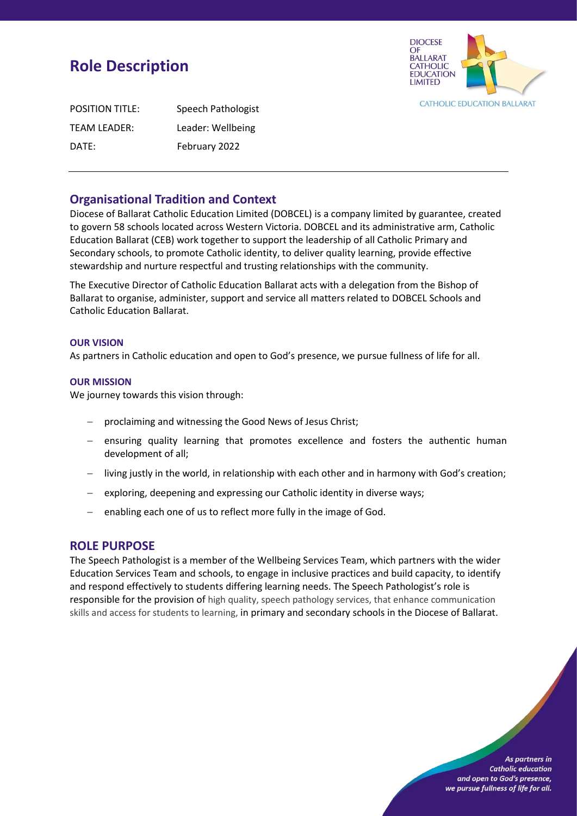# **Role Description**



| <b>POSITION TITLE:</b> | Speech Pathologist |
|------------------------|--------------------|
| TEAM LEADER:           | Leader: Wellbeing  |
| DATE:                  | February 2022      |

# **Organisational Tradition and Context**

Diocese of Ballarat Catholic Education Limited (DOBCEL) is a company limited by guarantee, created to govern 58 schools located across Western Victoria. DOBCEL and its administrative arm, Catholic Education Ballarat (CEB) work together to support the leadership of all Catholic Primary and Secondary schools, to promote Catholic identity, to deliver quality learning, provide effective stewardship and nurture respectful and trusting relationships with the community.

The Executive Director of Catholic Education Ballarat acts with a delegation from the Bishop of Ballarat to organise, administer, support and service all matters related to DOBCEL Schools and Catholic Education Ballarat.

#### **OUR VISION**

As partners in Catholic education and open to God's presence, we pursue fullness of life for all.

#### **OUR MISSION**

We journey towards this vision through:

- − proclaiming and witnessing the Good News of Jesus Christ;
- − ensuring quality learning that promotes excellence and fosters the authentic human development of all;
- − living justly in the world, in relationship with each other and in harmony with God's creation;
- − exploring, deepening and expressing our Catholic identity in diverse ways;
- − enabling each one of us to reflect more fully in the image of God.

# **ROLE PURPOSE**

The Speech Pathologist is a member of the Wellbeing Services Team, which partners with the wider Education Services Team and schools, to engage in inclusive practices and build capacity, to identify and respond effectively to students differing learning needs. The Speech Pathologist's role is responsible for the provision of high quality, speech pathology services, that enhance communication skills and access for students to learning, in primary and secondary schools in the Diocese of Ballarat.

> As partners in **Catholic education** and open to God's presence, we pursue fullness of life for all.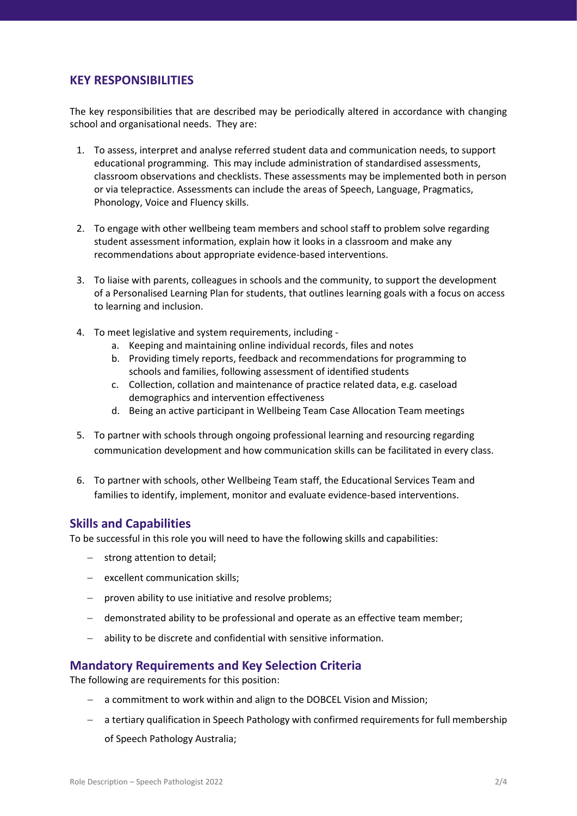# **KEY RESPONSIBILITIES**

The key responsibilities that are described may be periodically altered in accordance with changing school and organisational needs. They are:

- 1. To assess, interpret and analyse referred student data and communication needs, to support educational programming. This may include administration of standardised assessments, classroom observations and checklists. These assessments may be implemented both in person or via telepractice. Assessments can include the areas of Speech, Language, Pragmatics, Phonology, Voice and Fluency skills.
- 2. To engage with other wellbeing team members and school staff to problem solve regarding student assessment information, explain how it looks in a classroom and make any recommendations about appropriate evidence-based interventions.
- 3. To liaise with parents, colleagues in schools and the community, to support the development of a Personalised Learning Plan for students, that outlines learning goals with a focus on access to learning and inclusion.
- 4. To meet legislative and system requirements, including
	- a. Keeping and maintaining online individual records, files and notes
	- b. Providing timely reports, feedback and recommendations for programming to schools and families, following assessment of identified students
	- c. Collection, collation and maintenance of practice related data, e.g. caseload demographics and intervention effectiveness
	- d. Being an active participant in Wellbeing Team Case Allocation Team meetings
- 5. To partner with schools through ongoing professional learning and resourcing regarding communication development and how communication skills can be facilitated in every class.
- 6. To partner with schools, other Wellbeing Team staff, the Educational Services Team and families to identify, implement, monitor and evaluate evidence-based interventions.

## **Skills and Capabilities**

To be successful in this role you will need to have the following skills and capabilities:

- − strong attention to detail;
- − excellent communication skills;
- − proven ability to use initiative and resolve problems;
- − demonstrated ability to be professional and operate as an effective team member;
- − ability to be discrete and confidential with sensitive information.

## **Mandatory Requirements and Key Selection Criteria**

The following are requirements for this position:

- − a commitment to work within and align to the DOBCEL Vision and Mission;
- − a tertiary qualification in Speech Pathology with confirmed requirements for full membership of Speech Pathology Australia;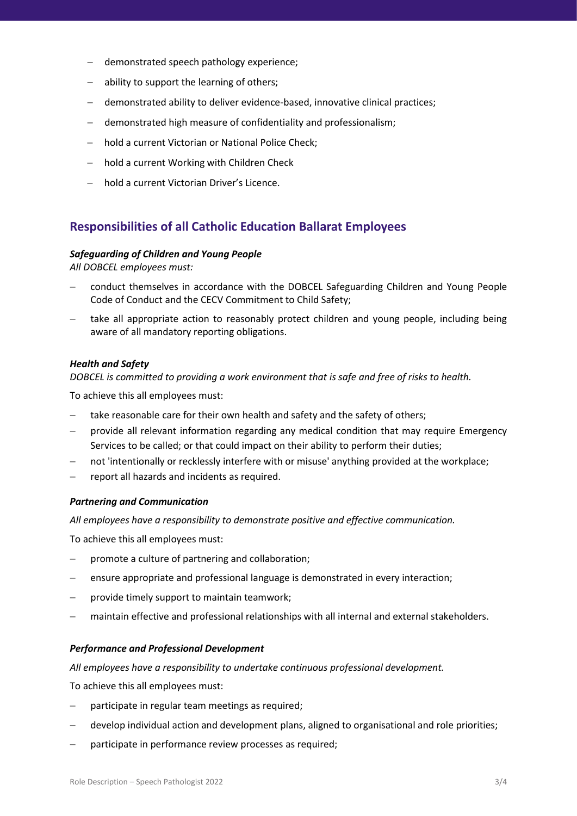- demonstrated speech pathology experience;
- − ability to support the learning of others;
- − demonstrated ability to deliver evidence-based, innovative clinical practices;
- − demonstrated high measure of confidentiality and professionalism;
- − hold a current Victorian or National Police Check;
- − hold a current Working with Children Check
- − hold a current Victorian Driver's Licence.

# **Responsibilities of all Catholic Education Ballarat Employees**

#### *Safeguarding of Children and Young People*

*All DOBCEL employees must:* 

- − conduct themselves in accordance with the DOBCEL Safeguarding Children and Young People Code of Conduct and the CECV Commitment to Child Safety;
- take all appropriate action to reasonably protect children and young people, including being aware of all mandatory reporting obligations.

#### *Health and Safety*

*DOBCEL is committed to providing a work environment that is safe and free of risks to health.*

To achieve this all employees must:

- − take reasonable care for their own health and safety and the safety of others;
- − provide all relevant information regarding any medical condition that may require Emergency Services to be called; or that could impact on their ability to perform their duties;
- not 'intentionally or recklessly interfere with or misuse' anything provided at the workplace;
- − report all hazards and incidents as required.

#### *Partnering and Communication*

*All employees have a responsibility to demonstrate positive and effective communication.* 

To achieve this all employees must:

- − promote a culture of partnering and collaboration;
- ensure appropriate and professional language is demonstrated in every interaction;
- provide timely support to maintain teamwork;
- maintain effective and professional relationships with all internal and external stakeholders.

#### *Performance and Professional Development*

*All employees have a responsibility to undertake continuous professional development.* 

To achieve this all employees must:

- participate in regular team meetings as required;
- develop individual action and development plans, aligned to organisational and role priorities;
- participate in performance review processes as required;